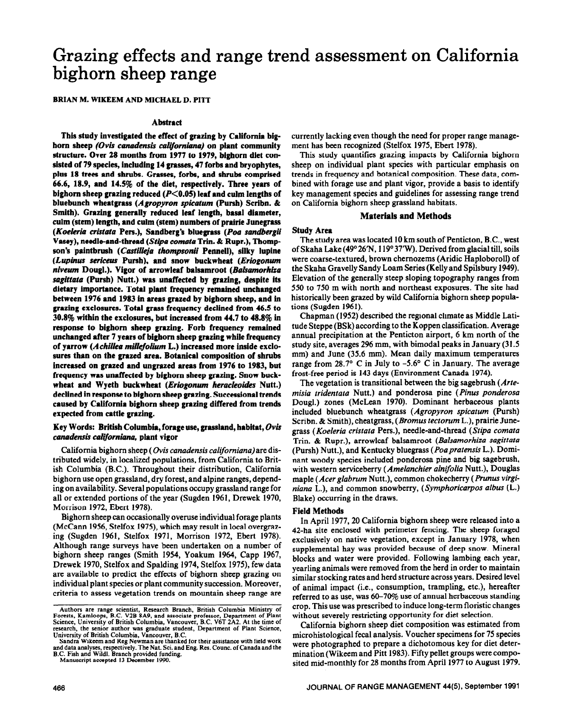# **Grazing effects and range trend assessment on California bighorn sheep range**

BRIAN M. WIKEEM AND MICHAEL D. PITT

## **Abstract**

**This study investigated the effect of grazing by California bighorn sheep** *(Ovis canadensis calflorniana)* **on piant community structure. Over 28 months from 1977 to 1979, bighorn diet consisted of 79 species, including 14 grasses, 47 forbs and bryophytes, plus 18 trees and shrubs. Grasses, forbs, and shrubs comprised 66.6, 18.9, and 14.5% of the diet, respectively. Three years of**  bighorn sheep grazing reduced (P<0.05) leaf and culm lengths of **bluebunch wheatgrass** *(Agropyron spicatum* **(Pursh) Scribn. & Smith). Grazing generally reduced leaf length, basal diameter, culm (stem) length, and cuhn (stem) numbers of prairie Junegrass**  *(Koeleria cristata* **Pers.), Sandberg's bluegrass** *(Poa sandbergii*  **Vasey), needle-and-thread (Stipa comata Trin. & Rupr.), Thompson's paintbrush** *(Castil&ia lhompsonii* **Penneli), silky lupine**  *(Lupinus seriieus* **Pursh), and snow buckwheat** *(Eriogonurn nivewn* **Dougl.). Vigor of arrowleaf balsamroot** *(Bakamorhiza sagittata* **(Pursh) Nutt.) was unaffected by grazing, despite its dietary importance. Total plant frequency remahred unchanged between 1976 and 1983 in areas grazed by bighorn sheep, and in grazing exclosures. Total grass frequency declined from 46.5 to 30.8% within the exclosures, but increased from 44.7 to 48.8% in response to bighorn sheep grazing. Forb frequency remained unchanged after 7 years of bighorn sheep grazing while frequency of yarrow** *(Achilles millefolirun* **L.) increased more inside exclo**sures than on the grazed area. Botanical composition of shrubs **increased on grazed and ungrazed areas from 1976 to 1983, but frequency was unaffected by bighorn sheep grazing. Snow buckwheat and Wyeth buckwheat** *(Eriogonum heracleoidcs* **Nutt.) declined in response to bighorn sheep grazing. Successional trends caused by Caiifomia bighorn sheep grazing differed from trends expected from cattle grazing.** 

# **Key Words: British Columbia, forage use,** grassland, habitat, Ovis *canadensis ca&forniana,* **piant vigor**

California bighorn sheep ( *Ovis canadensis californiana)* are distributed widely, in localized populations, from California to British Columbia (B.C.). Throughout their distribution, California bighorn use open grassland, dry forest, and alpine ranges, depending on availability. Several populations occupy grassland range for all or extended portions of the year (Sugden 1961, Drewek 1970, Morrison 1972, Ebert 1978).

Bighorn sheep can occasionally overuse individual forage plants (McCann 1956, Stelfox 1975) which may result in local overgrazing (Sugden 1961, Stelfox 1971, Morrison 1972, Ebert 1978). Although range surveys have been undertaken on a number of bighorn sheep ranges (Smith 1954, Yoakum 1964, Capp 1967, Drewek 1970, Stelfox and Spalding 1974, Stelfox 1975), few data are available to predict the effects of bighorn sheep grazing on individual plant species or plant community succession. Moreover, criteria to assess vegetation trends on mountain sheep range are

**Manuscript accepted 13 December 1990.** 

currently lacking even though the need for proper range management has been recognized (Stelfox 1975, Ebert 1978).

This study quantifies grazing impacts by California bighorn sheep on individual plant species with particular emphasis on trends in frequency and botanical composition. These data, combined with forage use and plant vigor, provide a basis to identify key management species and guidelines for assessing range trend on California bighorn sheep grassland habitats.

## **Materials and Methods**

## **Study Area**

The study area was located 10 km south of Penticton, B.C., west of Skaha Lake (49° 26'N, 119° 37'W). Derived from glacial till, soils were coarse-textured, brown chemozems (Aridic Haploboroll) of the Skaha Gravelly Sandy Loam Series (Kelly and Spilsbury 1949). Elevation of the generally steep sloping topography ranges from 550 to 750 m with north and northeast exposures. The site had historically been grazed by wild California bighorn sheep populations (Sugden 1961).

Chapman (1952) described the regional climate as Middle Latitude Steppe (BSk) according to the Koppen classification. Average annual precipitation at the Penticton airport, 6 km north of the study site, averages 296 mm, with bimodal peaks in January (31.5 mm) and June (35.6 mm). Mean daily maximum temperatures range from 28.7 $\degree$  C in July to -5.6 $\degree$  C in January. The average frost-free period is 143 days (Environment Canada 1974).

The vegetation is transitional between the big sagebrush (*Artemisia tridentata* Nutt.) and ponderosa pine *(Pinus ponderosa*  Dougl.) zones (McLean 1970). Dominant herbaceous plants included bluebunch wheatgrass *(Agropyron spicatum* (Pursh) Scribn. & Smith), cheatgrass, (Bromus tectorum L.), prairie Junegrass *(Koeleria cristata* Pers.), needle-and-thread *(Stipa comata*  Trin. & Rupr.), arrowleaf balsamroot *(Balsamorhiza sagiftata*  (Pursh) Nutt.), and Kentucky bluegrass *(Poaprafensb* L.). Dominant woody species included ponderosa pine and big sagebrush, with western serviceberry *(Amelanchier alnifolia* Nutt.), Douglas maple *(Acer glabrum* Nutt.), common chokecherry *(Prunus virginiana* L.), and common snowberry, *(Symphoricarpos albus (L.)*  Blake) occurring in the draws.

## **Field Methods**

In April 1977,20 California bighorn sheep were released into a 42-ha site enclosed with perimeter fencing. The sheep foraged exclusively on native vegetation, except in January 1978, when supplemental hay was provided because of deep snow. Mineral blocks and water were provided. Following lambing each year, yearling animals were removed from the herd in order to maintain similar stocking rates and herd structure across years. Desired level of animal impact (i.e., consumption, trampling, etc.), hereafter referred to as use, was 60-70% use of annual herbaceous standing crop. This use was prescribed to induce long-term floristic changes without severely restricting opportunity for diet selection.

California bighorn sheep diet composition was estimated from microhistological fecal analysis. Voucher specimens for 75 species were photographed to prepare a dichotomous key for diet determination (Wikeem and Pitt 1983). Fifty pellet groups were composited mid-monthly for 28 months from April 1977 to August 1979.

Authors are range scientist, Research Branch, British Columbia Ministry of Forests, Kamloops, B.C. V2B 8A9, and associate professor, Department of Plant Science, University of British Columbia, Vancouver, B.C. V6T 2A2. At **University of British Columbia, Vancouver, B.C.** 

**Sandra Wikeem and Reg Newman are thanked for their assistance with field work**  and data analyses, respectively. The Nat. Sci. and Eng. Res. Counc. of Canada and the **B.C. Fish and Wddl. Branch provided funding.**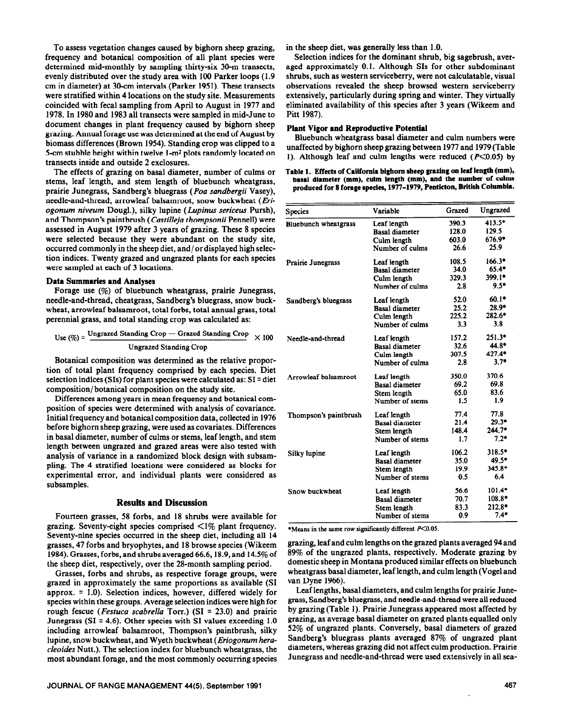To assess vegetation changes caused by bighorn sheep grazing, frequency and botanical composition of all plant species were determined mid-monthly by sampling thirty-six 30-m transects, evenly distributed over the study area with 100 Parker loops (1.9 cm in diameter) at 3O-cm intervals (Parker 1951). These transects were stratified within 4 locations on the study site. Measurements coincided with fecal sampling from April to August in 1977 and 1978. In 1980 and 1983 all transects were sampled in mid-June to document changes in plant frequency caused by bighorn sheep grazing. Annual forage use was determined at the end of August by biomass differences (Brown 1954). Standing crop was clipped to a 5-cm stubble height within twelve  $1-m^2$  plots randomly located on transects inside and outside 2 exclosures.

The effects of grazing on basal diameter, number of culms or stems, leaf length, and stem length of bluebunch wheatgrass, prairie Junegrass, Sandberg's bluegrass (Pea *sandbergii* Vasey), needle-and-thread, arrowleaf balsamroot, snow buckwheat *(Eriogonum niveum* Dougl.), silky lupine *(Lupinus sericeus* Pursh), and Thompson's paintbrush *(Castilleja thompsonii* Pennell) were assessed in August 1979 after 3 years of grazing. These 8 species were selected because they were abundant on the study site, occurred commonly in the sheep diet, and/ or displayed high selection indices. Twenty grazed and ungrazed plants for each species were sampled at each of 3 locations.

#### **Data Summaries and Analyses**

**Forage** use (%) of bluebunch wheatgrass, prairie Junegrass, needle-and-thread, cheatgrass, Sandberg's bluegrass, snow buckwheat, arrowleaf balsamroot, total forbs, total annual grass, total perennial grass, and total standing crop was calculated as:

Use 
$$
(\%)
$$
 =  $\frac{\text{Ungraced Standing crop} - \text{Grazed Standing crop}}{\text{Ungrazed Standing crop}} \times 100$ 

Botanical composition was determined as the relative proportion of total plant frequency comprised by each species. Diet selection indices (SIs) for plant species were calculated as:  $SI = diet$ composition/ botanical composition on the study site.

Differences among years in mean frequency and botanical composition of species were determined with analysis of covariance. Initial frequency and botanical composition data, collected in 1976 before bighorn sheep grazing, were used as covariates. Differences in basal diameter, number of culms or stems, leaf length, and stem length between ungrazed and grazed areas were also tested with analysis of variance in a randomized block design with subsampling. The 4 stratified locations were considered as blocks for experimental error, and individual plants were considered as subsamples.

## **Results and Discussion**

Fourteen grasses, 58 forbs, and 18 shrubs were available for grazing. Seventy-eight species comprised  $\langle 1\%$  plant frequency. Seventy-nine species occurred in the sheep diet, including all 14 grasses, 47 forbs and bryophytes, and 18 browse species (Wikeem 1984). Grasses, forbs, and shrubs averaged 66.6,18.9, and 14.5% of the sheep diet, respectively, over the 28-month sampling period.

Grasses, forbs and shrubs, as respective forage groups, were grazed in approximately the same proportions as available (SI approx. = 1.0). Selection indices, however, differed widely for species within these groups. Average selection indices were high for rough fescue *(Festuca scabrella* Torr.) (SI = 23.0) and prairie Junegrass (SI = 4.6). Other species with SI values exceeding 1.0 including arrowleaf balsamroot, Thompson's paintbrush, silky lupine, snow buckwheat, and Wyeth buckwheat *(Eriogonum heracleoides* Nutt.). The selection index for bluebunch wheatgrass, the most abundant forage, and the most commonly occurring species

**JOURNAL OF RANGE MANAGEMENT 44(5), September 1991** 

in the sheep diet, was generally less than 1 .O.

Selection indices for the dominant shrub, big sagebrush, averaged approximately 0.1. Although SIs for other subdominant shrubs, such as western serviceberry, were not calculatable, visual observations revealed the sheep browsed western serviceberry extensively, particularly during spring and winter. They virtually eliminated availability of this species after 3 years (Wikeem and Pitt 1987).

#### **Plant Vigor and Reproductive Potential**

Bluebunch wheatgrass basal diameter and culm numbers were unaffected by bighorn sheep grazing between 1977 and 1979 (Table 1). Although leaf and culm lengths were reduced ( $P \le 0.05$ ) by

Table 1. Effects of California bighorn sheep grazing on leaf length (mm), basal diameter (mm), culm length (mm), and the number of culms **produced for 8 forage species, 1977-1979, Penticton, British Columbk.** 

| <b>Species</b>              | Variable              | Grazed | Ungrazed |
|-----------------------------|-----------------------|--------|----------|
| <b>Bluebunch</b> wheatgrass | Leaf length           | 390.3  | 413.5*   |
|                             | <b>Basal diameter</b> | 128.0  | 129.5    |
|                             | Culm length           | 603.0  | $676.9*$ |
|                             | Number of culms       | 26.6   | 25.9     |
| Prairie Junegrass           | Leaf length           | 108.5  | $166.3*$ |
|                             | <b>Basal diameter</b> | 34.0   | $65.4*$  |
|                             | Culm length           | 329.3  | 399.1*   |
|                             | Number of culms       | 2.8    | $9.5*$   |
| Sandberg's bluegrass        | Leaf length           | 52.0   | $60.1*$  |
|                             | <b>Basal diameter</b> | 25.2   | 28.9*    |
|                             | Culm length           | 225.2  | 282.6*   |
|                             | Number of culms       | 3.3    | 3.8      |
| Needle-and-thread           | Leaf length           | 157.2  | 251.3*   |
|                             | <b>Basal diameter</b> | 32.6   | 44.8*    |
|                             | Culm length           | 307.5  | 427.4*   |
|                             | Number of culms       | 2.8    | $3.7*$   |
| Arrowleaf balsamroot        | Leaf length           | 350.0  | 370.6    |
|                             | <b>Basal diameter</b> | 69.2   | 69.8     |
|                             | Stem length           | 65.0   | 83.6     |
|                             | Number of stems       | 1.5    | 1.9      |
| Thompson's paintbrush       | Leaf length           | 77.4   | 77.8     |
|                             | <b>Basal diameter</b> | 21.4   | $29.3*$  |
|                             | Stem length           | 148.4  | $244.7*$ |
|                             | Number of stems       | 1.7    | $7.2*$   |
| Silky lupine                | Leaf length           | 106.2  | 318.5*   |
|                             | <b>Basal</b> diameter | 35.0   | 49.5*    |
|                             | Stem length           | 19.9   | 345.8*   |
|                             | Number of stems       | 0.5    | 6.4      |
| Snow buckwheat              | Leaf length           | 56.6   | $101.4*$ |
|                             | <b>Basal diameter</b> | 70.7   | $108.8*$ |
|                             | Stem length           | 83.3   | 212.8*   |
|                             | Number of stems       | 0.9    | $7.4*$   |

\*Means in the same row significantly different  $P<0.05$ .

grazing, leaf and culm lengths on the grazed plants averaged 94 and 89% of the ungrazed plants, respectively. Moderate grazing by domestic sheep in Montana produced similar effects on bluebunch wheatgrass basal diameter, leaf length, and culm length (Vogel and van Dyne 1966).

Leaf lengths, basal diameters, and culm lengths for prairie Junegrass, Sandberg's bluegrass, and needle-and-thread were all reduced by grazing (Table 1). Prairie Junegrass appeared most affected by grazing, as average basal diameter on grazed plants equalled only 52% of ungrazed plants. Conversely, basal diameters of grazed Sandberg's bluegrass plants averaged 87% of ungrazed plant diameters, whereas grazing did not affect culm production. Prairie Junegrass and needle-and-thread were used extensively in all sea-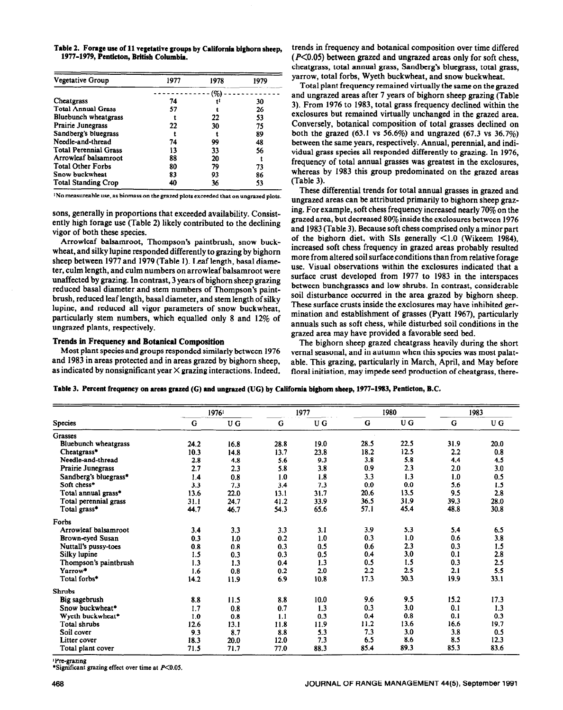**Table 2. Forage use of 11 vegetative groups by California bighorn sheep,**  1977-1979, Penticton, British Columbia.

| Vegetative Group             | 1977 | 1978                | 1979 |
|------------------------------|------|---------------------|------|
|                              |      | $\left( \% \right)$ |      |
| Cheatgrass                   | 74   | tI                  | 30   |
| <b>Total Annual Grass</b>    | 57   |                     | 26   |
| Bluebunch wheatgrass         |      | 22                  | 53   |
| <b>Prairie Junegrass</b>     | 22   | 30                  | 75   |
| Sandberg's bluegrass         |      |                     | 89   |
| Needle-and-thread            | 74   | 99                  | 48   |
| <b>Total Perennial Grass</b> | 13   | 33                  | 56   |
| Arrowleaf balsamroot         | 88   | 20                  |      |
| <b>Total Other Forbs</b>     | 80   | 79                  | 73   |
| Snow buckwheat               | 83   | 93                  | 86   |
| <b>Total Standing Crop</b>   | 40   | 36                  | 53   |

<sup>1</sup>No measureable use, as biomass on the grazed plots exceeded that on ungrazed plots.

sons, generally in proportions that exceeded availability. Consistently high forage use (Table 2) likely contributed to the declining vigor of both these species.

Arrowleaf balsamroot, Thompson's paintbrush, snow buckwheat, and silky lupine responded differently to grazing by bighorn sheep between 1977 and 1979 (Table 1). Leaf length, basal diameter, culm length, and culm numbers on arrowleaf balsamroot were unaffected by grazing. In contrast, 3 years of bighorn sheep grazing reduced basal diameter and stem numbers of Thompson's paintbrush, reduced leaf length, basal diameter, and stem length of silky lupine, and reduced all vigor parameters of snow buckwheat, particularly stem numbers, which equalled only 8 and 12% of ungrazed plants, respectively.

## **Trends in Frequency and Botanical Composition**

**Most** plant species and groups responded similarly between 1976 and 1983 in areas protected and in areas grazed by bighorn sheep, as indicated by nonsignificant year  $\times$  grazing interactions. Indeed, trends in frequency and botanical composition over time differed  $(P<0.05)$  between grazed and ungrazed areas only for soft chess, cheatgrass, total annual grass, Sandberg's bluegrass, total grass, yarrow, total forbs, Wyeth buckwheat, and snow buckwheat.

Total plant frequency remained virtually the same on the grazed and ungrazed areas after 7 years of bighorn sheep grazing (Table 3). From 1976 to 1983, total grass frequency declined within the exclosures but remained virtually unchanged in the grazed area. Conversely, botanical composition of total grasses declined on both the grazed (63.1 vs 56.6%) and ungrazed (67.3 vs 36.7%) between the same years, respectively. Annual, perennial, and individual grass species all responded differently to grazing. In 1976, frequency of total annual grasses was greatest in the exclosures, whereas by 1983 this group predominated on the grazed areas (Table 3).

These differential trends for total annual grasses in grazed and ungrazed areas can be attributed primarily to bighorn sheep grazing. For example, soft chess frequency increased nearly 70% on the grazed area, but decreased 80% inside the exclosures between 1976 and 1983 (Table 3). Because soft chess comprised only a minor part of the bighorn diet, with SIs generally  $\leq 1.0$  (Wikeem 1984). increased soft chess frequency in grazed areas probably resulted more from altered soil surface conditions than from relative forage use. Visual observations within the exclosures indicated that a surface crust developed from 1977 to 1983 in the interspaces between bunchgrasses and low shrubs. In contrast, considerable soil disturbance occurred in the area grazed by bighorn sheep. These surface crusts inside the exclosures may have inhibited germination and establishment of grasses (Pyatt 1967), particularly annuals such as soft chess, while disturbed soil conditions in the grazed area may have provided a favorable seed bed.

The bighorn sheep grazed cheatgrass heavily during the short **vernal seasonal, and in autumn** when this species was most palatable. This grazing, particularly in March, April, and May before floral initiation, may impede seed production of cheatgrass, there-

**Table 3. Percent frequency on areas grazed (C) and ungrazed (UC) by California bighorn sheep, 1977-1983, Penticton, B.C.** 

|                       |      | 19761 |      | 1977 |      | 1980 |      | 1983 |  |
|-----------------------|------|-------|------|------|------|------|------|------|--|
| <b>Species</b>        | G    | U G   | G    | U G  | G    | U G  | G    | U G  |  |
| <b>Grasses</b>        |      |       |      |      |      |      |      |      |  |
| Bluebunch wheatgrass  | 24.2 | 16.8  | 28.8 | 19.0 | 28.5 | 22.5 | 31.9 | 20.0 |  |
| Cheatgrass*           | 10.3 | 14.8  | 13.7 | 23.8 | 18.2 | 12.5 | 2.2  | 0.8  |  |
| Needle-and-thread     | 2.8  | 4.8   | 5.6  | 9.3  | 3.8  | 5.8  | 4.4  | 4.5  |  |
| Prairie Junegrass     | 2.7  | 2.3   | 5.8  | 3.8  | 0.9  | 2.3  | 2.0  | 3.0  |  |
| Sandberg's bluegrass* | 1.4  | 0.8   | 1.0  | 1.8  | 3.3  | 1.3  | 1.0  | 0.5  |  |
| Soft chess*           | 3.3  | 7.3   | 3.4  | 7.3  | 0.0  | 0.0  | 5.6  | 1.5  |  |
| Total annual grass*   | 13.6 | 22.0  | 13.1 | 31.7 | 20.6 | 13.5 | 9.5  | 2.8  |  |
| Total perennial grass | 31.1 | 24.7  | 41.2 | 33.9 | 36.5 | 31.9 | 39.3 | 28.0 |  |
| Total grass*          | 44.7 | 46.7  | 54.3 | 65.6 | 57.1 | 45.4 | 48.8 | 30.8 |  |
| Forbs                 |      |       |      |      |      |      |      |      |  |
| Arrowleaf balsamroot  | 3.4  | 3.3   | 3.3  | 3.1  | 3.9  | 5.3  | 5.4  | 6.5  |  |
| Brown-eyed Susan      | 0.3  | 1.0   | 0.2  | 1.0  | 0.3  | 1.0  | 0.6  | 3.8  |  |
| Nuttall's pussy-toes  | 0.8  | 0.8   | 0.3  | 0.5  | 0.6  | 2.3  | 0.3  | 1.5  |  |
| Silky lupine          | 1.5  | 0.3   | 0.3  | 0.5  | 0.4  | 3.0  | 0.1  | 2.8  |  |
| Thompson's paintbrush | 1.3  | 1.3   | 0.4  | 1.3  | 0.5  | 1.5  | 0.3  | 2.5  |  |
| Yarrow*               | 1.6  | 0.8   | 0.2  | 2.0  | 2.2  | 2.5  | 2.1  | 5.5  |  |
| Total forbs*          | 14.2 | 11.9  | 6.9  | 10.8 | 17.3 | 30.3 | 19.9 | 33.1 |  |
| <b>Shrubs</b>         |      |       |      |      |      |      |      |      |  |
| Big sagebrush         | 8.8  | 11.5  | 8.8  | 10.0 | 9.6  | 9.5  | 15.2 | 17.3 |  |
| Snow buckwheat*       | 1.7  | 0.8   | 0.7  | 1.3  | 0.3  | 3.0  | 0.1  | 1.3  |  |
| Wyeth buckwheat*      | 1.0  | 0.8   | 1.1  | 0.3  | 0.4  | 0.8  | 0.1  | 0.3  |  |
| Total shrubs          | 12.6 | 13.1  | 11.8 | 11.9 | 11.2 | 13.6 | 16.6 | 19.7 |  |
| Soil cover            | 9.3  | 8.7   | 8.8  | 5.3  | 7.3  | 3.0  | 3.8  | 0.5  |  |
| Litter cover          | 18.3 | 20.0  | 12.0 | 7.3  | 6.5  | 8.6  | 8.5  | 12.3 |  |
| Total plant cover     | 71.5 | 71.7  | 77.0 | 88.3 | 85.4 | 89.3 | 85.3 | 83.6 |  |

**'Pm-grazing** 

**'Significant grazing effect over time at** P<O.O5.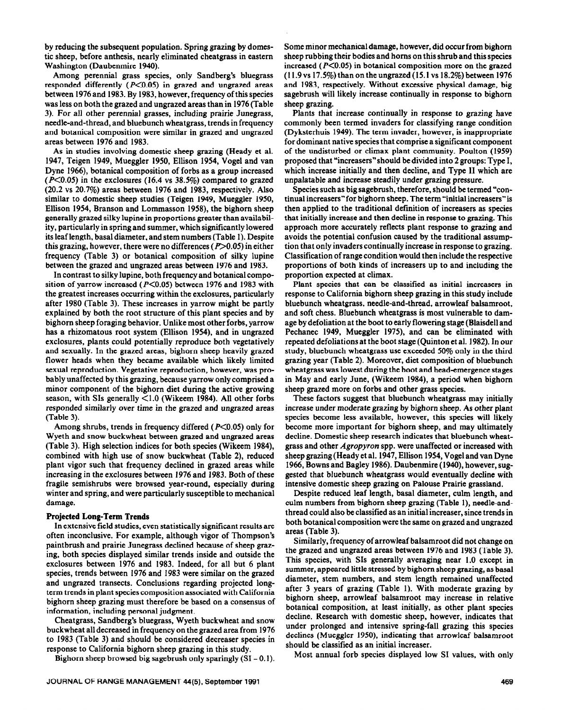by reducing the subsequent population. Spring grazing by domestic sheep, before anthesis, nearly eliminated cheatgrass in eastern Washington (Daubenmire 1940).

Among perennial grass species, only Sandberg's bluegrass responded differently  $(P<0.05)$  in grazed and ungrazed areas between 1976 and 1983. By 1983, however, frequency of this species was less on both the grazed and ungrazed areas than in 1976 (Table 3). For all other perennial grasses, including prairie Junegrass, needle-and-thread, and bluebunch wheatgrass, trends in frequency and botanical composition were similar in grazed and ungrazed areas between 1976 and 1983.

As in studies involving domestic sheep grazing (Heady et al. 1947, Teigen 1949, Mueggler 1950, Ellison 1954, Vogel and van Dyne 1966), botanical composition of forbs as a group increased  $(P<0.05)$  in the exclosures (16.4 vs 38.5%) compared to grazed (20.2 vs 20.7%) areas between 1976 and 1983, respectively. Also similar to domestic sheep studies (Teigen 1949, Mueggler 1950, Ellison 1954, Branson and Lommasson 1958), the bighorn sheep generally grazed silky lupine in proportions greater than availability, particularly in spring and summer, which significantly lowered its leaf length, basal diameter, and stem numbers (Table 1). Despite this grazing, however, there were no differences  $(P>0.05)$  in either frequency (Table 3) or botanical composition of silky lupine between the grazed and ungrazed areas between 1976 and 1983.

In contrast to silky lupine, both frequency and botanical composition of yarrow increased ( $P<0.05$ ) between 1976 and 1983 with the greatest increases occurring within the exclosures, particularly after 1980 (Table 3). These increases in yarrow might be partly explained by both the root structure of this plant species and by bighorn sheep foraging behavior. Unlike most other forbs, yarrow has a rhizomatous root system (Ellison 1954), and in ungrazed exclosures, plants could potentially reproduce both vegetatively and sexually. In the grazed areas, bighorn sheep heavily grazed flower heads when they became available which likely limited sexual reproduction. Vegetative reproduction, however, was probably unaffected by this grazing, because yarrow only comprised a minor component of the bighorn diet during the active growing season, with SIs generally  $\leq 1.0$  (Wikeem 1984). All other forbs responded similarly over time in the grazed and ungrazed areas (Table 3).

Among shrubs, trends in frequency differed  $(P<0.05)$  only for Wyeth and snow buckwheat between grazed and ungrazed areas (Table 3). High selection indices for both species (Wikeem 1984), combined with high use of snow buckwheat (Table 2), reduced plant vigor such that frequency declined in grazed areas while increasing in the exclosures between 1976 and 1983. Both of these fragile semishrubs were browsed year-round, especially during winter and spring, and were particularly susceptible to mechanical damage.

# **Projected Long-Term Trends**

In extensive field studies, even statistically significant results are often inconclusive. For example, although vigor of Thompson's paintbrush and prairie Junegrass declined because of sheep grazing, both species displayed similar trends inside and outside the exclosures between 1976 and 1983. Indeed, for all but 6 plant species, trends between 1976 and 1983 were similar on the grazed and ungrazed transects. Conclusions regarding projected longterm trends in plant species composition associated with California bighorn sheep grazing must therefore be based on a consensus of information, including personal judgment.

Cheatgrass, Sandberg's bluegrass, Wyeth buckwheat and snow buckwheat all decreased in frequency on the grazed area from 1976 to 1983 (Table 3) and should be considered decreaser species in response to California bighorn sheep grazing in this study.

Bighorn sheep browsed big sagebrush only sparingly  $(SI = 0.1)$ .

Some minor mechanical damage, however, did occur from bighorn sheep rubbing their bodies and horns on this shrub and this species increased ( $P<0.05$ ) in botanical composition more on the grazed  $(11.9~vs~17.5%)$  than on the ungrazed  $(15.1~vs~18.2%)$  between 1976 and 1983, respectively. Without excessive physical damage, big sagebrush will likely increase continually in response to bighorn sheep grazing.

Plants that increase continually in response to grazing have commonly been termed invaders for classifying range condition (Dyksterhuis 1949). The term invader, however, is inappropriate for dominant native species that comprise a significant component of the undisturbed or climax plant community. Poulton (1959) proposed that "increasers"should be divided into 2 groups: Type I, which increase initially and then decline, and Type II which are unpalatable and increase steadily under grazing pressure.

Species such as big sagebrush, therefore, should be termed "continual increasers" for bighorn sheep. The term "initial increasers" is then applied to the traditional definition of increasers as species that initially increase and then decline in response to grazing. This approach more accurately reflects plant response to grazing and avoids the potential confusion caused by the traditional assumption that only invaders continually increase in response to grazing. Classification of range condition would then include the respective proportions of both kinds of increasers up to and including the proportion expected at climax.

Plant species that can be classified as initial increasers in response to California bighorn sheep grazing in this study include bluebunch wheatgrass, needle-and-thread, arrowleaf balsamroot, and soft chess. Bluebunch wheatgrass is most vulnerable to damage by defoliation at the boot to early flowering stage (Blaisdell and Pechanec 1949, Mueggler 1975), and can be eliminated with repeated defoliations at the boot stage (Quinton et al. 1982). In our study, bluebunch wheatgrass use exceeded 50% only in the third grazing year (Table 2). Moreover, diet composition of bluebunch wheatgrass was lowest during the boot and head-emergence stages in May and early June, (Wikeem 1984), a period when bighorn sheep grazed more on forbs and other grass species.

These factors suggest that bluebunch wheatgrass may initially increase under moderate grazing by bighorn sheep. As other plant species become less available, however, this species will likely become more important for bighorn sheep, and may ultimately decline. Domestic sheep research indicates that bluebunch wheatgrass and other *Agropyron* spp. were unaffected or increased with sheep grazing (Heady et al. 1947, Ellison 1954, Vogel and van Dyne 1966, Bowns and Bagley 1986). Daubenmire (1940), however, suggested that bluebunch wheatgrass would eventually decline with intensive domestic sheep grazing on Palouse Prairie grassland.

Despite reduced leaf length, basal diameter, culm length, and culm numbers from bighorn sheep grazing (Table l), needle-andthread could also be classified as an initial increaser, since trends in both botanical composition were the same on grazed and ungrazed areas (Table 3).

Similarly, frequency of arrowleaf balsamroot did not change on the grazed and ungrazed areas between 1976 and 1983 (Table 3). This species, with SIs generally averaging near 1.0 except in summer, appeared little stressed by bighorn sheep grazing, as basal diameter, stem numbers, and stem length remained unaffected after 3 years of grazing (Table 1). With moderate grazing by bighorn sheep, arrowleaf balsamroot may increase in relative botanical composition, at least initially, as other plant species decline. Research with domestic sheep, however, indicates that under prolonged and intensive spring-fall grazing this species declines (Mueggler 1950), indicating that arrowleaf balsamroot should be classified as an initial increaser.

Most annual forb species displayed low SI values, with only